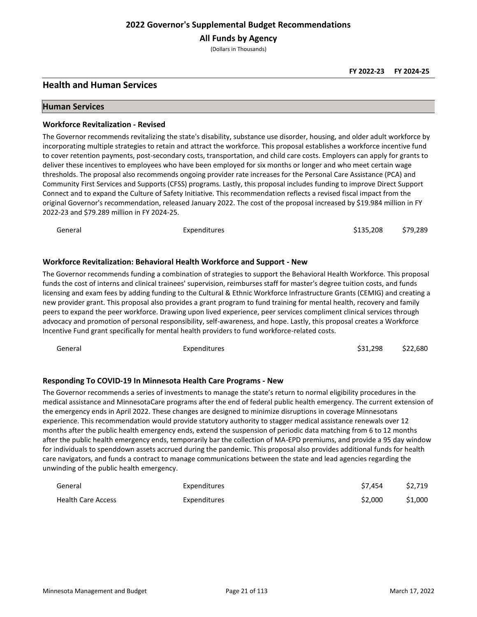**All Funds by Agency**

(Dollars in Thousands)

# **Health and Human Services**

#### **Human Services**

#### **Workforce Revitalization - Revised**

The Governor recommends revitalizing the state's disability, substance use disorder, housing, and older adult workforce by incorporating multiple strategies to retain and attract the workforce. This proposal establishes a workforce incentive fund to cover retention payments, post-secondary costs, transportation, and child care costs. Employers can apply for grants to deliver these incentives to employees who have been employed for six months or longer and who meet certain wage thresholds. The proposal also recommends ongoing provider rate increases for the Personal Care Assistance (PCA) and Community First Services and Supports (CFSS) programs. Lastly, this proposal includes funding to improve Direct Support Connect and to expand the Culture of Safety Initiative. This recommendation reflects a revised fiscal impact from the original Governor's recommendation, released January 2022. The cost of the proposal increased by \$19.984 million in FY 2022-23 and \$79.289 million in FY 2024-25.

| General | Expenditures                                                                                                                                                                                                                                                                                                                                                                                                                                                                              | \$135,208 | \$79.289 |
|---------|-------------------------------------------------------------------------------------------------------------------------------------------------------------------------------------------------------------------------------------------------------------------------------------------------------------------------------------------------------------------------------------------------------------------------------------------------------------------------------------------|-----------|----------|
|         | Workforce Revitalization: Behavioral Health Workforce and Support - New                                                                                                                                                                                                                                                                                                                                                                                                                   |           |          |
|         | The Governor recommends funding a combination of strategies to support the Behavioral Health Workforce. This proposal<br>funds the cost of interns and clinical trainees' supervision, reimburses staff for master's degree tuition costs, and funds<br>$\mathbf{R}$ , and the contract of the contract of the contract of the contract of the contract of the contract of the contract of the contract of the contract of the contract of the contract of the contract of the contract o |           |          |

licensing and exam fees by adding funding to the Cultural & Ethnic Workforce Infrastructure Grants (CEMIG) and creating a new provider grant. This proposal also provides a grant program to fund training for mental health, recovery and family peers to expand the peer workforce. Drawing upon lived experience, peer services compliment clinical services through advocacy and promotion of personal responsibility, self-awareness, and hope. Lastly, this proposal creates a Workforce Incentive Fund grant specifically for mental health providers to fund workforce-related costs.

| General | <b>Expenditures</b> | \$31,298 | \$22,680 |
|---------|---------------------|----------|----------|
|---------|---------------------|----------|----------|

## **Responding To COVID-19 In Minnesota Health Care Programs - New**

The Governor recommends a series of investments to manage the state's return to normal eligibility procedures in the medical assistance and MinnesotaCare programs after the end of federal public health emergency. The current extension of the emergency ends in April 2022. These changes are designed to minimize disruptions in coverage Minnesotans experience. This recommendation would provide statutory authority to stagger medical assistance renewals over 12 months after the public health emergency ends, extend the suspension of periodic data matching from 6 to 12 months after the public health emergency ends, temporarily bar the collection of MA-EPD premiums, and provide a 95 day window for individuals to spenddown assets accrued during the pandemic. This proposal also provides additional funds for health care navigators, and funds a contract to manage communications between the state and lead agencies regarding the unwinding of the public health emergency.

| General                   | Expenditures        | \$7.454 | \$2.719 |
|---------------------------|---------------------|---------|---------|
| <b>Health Care Access</b> | <b>Expenditures</b> | \$2,000 | \$1,000 |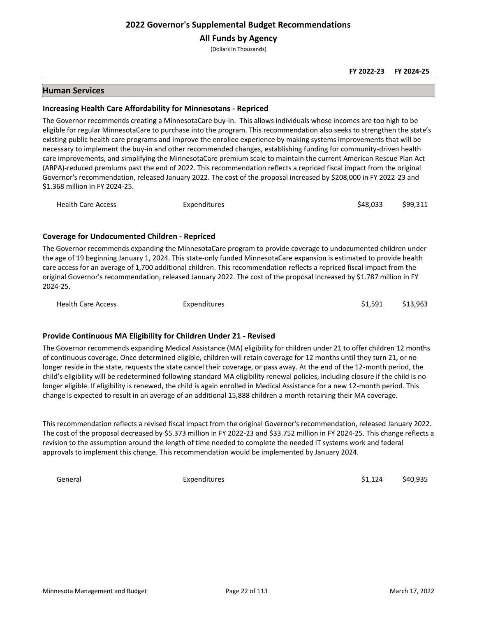**All Funds by Agency**

(Dollars in Thousands)

## **Human Services**

## **Increasing Health Care Affordability for Minnesotans - Repriced**

The Governor recommends creating a MinnesotaCare buy-in. This allows individuals whose incomes are too high to be eligible for regular MinnesotaCare to purchase into the program. This recommendation also seeks to strengthen the state's existing public health care programs and improve the enrollee experience by making systems improvements that will be necessary to implement the buy-in and other recommended changes, establishing funding for community-driven health care improvements, and simplifying the MinnesotaCare premium scale to maintain the current American Rescue Plan Act (ARPA)-reduced premiums past the end of 2022. This recommendation reflects a repriced fiscal impact from the original Governor's recommendation, released January 2022. The cost of the proposal increased by \$208,000 in FY 2022-23 and \$1.368 million in FY 2024-25.

| <b>Health Care Access</b><br>Expenditures | \$48,033 | \$99,311 |
|-------------------------------------------|----------|----------|
|-------------------------------------------|----------|----------|

## **Coverage for Undocumented Children - Repriced**

The Governor recommends expanding the MinnesotaCare program to provide coverage to undocumented children under the age of 19 beginning January 1, 2024. This state-only funded MinnesotaCare expansion is estimated to provide health care access for an average of 1,700 additional children. This recommendation reflects a repriced fiscal impact from the original Governor's recommendation, released January 2022. The cost of the proposal increased by \$1.787 million in FY 2024-25.

Health Care Access **Expenditures** Expenditures **Expenditures Expenditures Expenditures EXPENDITE 13,963** 

## **Provide Continuous MA Eligibility for Children Under 21 - Revised**

The Governor recommends expanding Medical Assistance (MA) eligibility for children under 21 to offer children 12 months of continuous coverage. Once determined eligible, children will retain coverage for 12 months until they turn 21, or no longer reside in the state, requests the state cancel their coverage, or pass away. At the end of the 12-month period, the child's eligibility will be redetermined following standard MA eligibility renewal policies, including closure if the child is no longer eligible. If eligibility is renewed, the child is again enrolled in Medical Assistance for a new 12-month period. This change is expected to result in an average of an additional 15,888 children a month retaining their MA coverage.

This recommendation reflects a revised fiscal impact from the original Governor's recommendation, released January 2022. The cost of the proposal decreased by \$5.373 million in FY 2022-23 and \$33.752 million in FY 2024-25. This change reflects a revision to the assumption around the length of time needed to complete the needed IT systems work and federal approvals to implement this change. This recommendation would be implemented by January 2024.

General Expenditures 51,124 \$40,935 \$40,935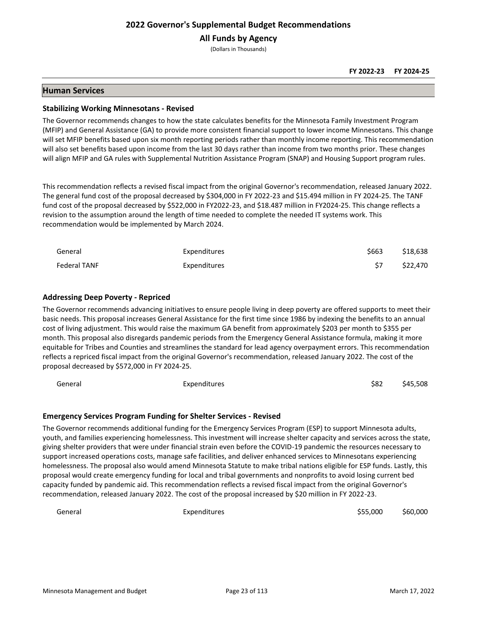# **All Funds by Agency**

(Dollars in Thousands)

#### **FY 2022-23 FY 2024-25**

## **Human Services**

#### **Stabilizing Working Minnesotans - Revised**

The Governor recommends changes to how the state calculates benefits for the Minnesota Family Investment Program (MFIP) and General Assistance (GA) to provide more consistent financial support to lower income Minnesotans. This change will set MFIP benefits based upon six month reporting periods rather than monthly income reporting. This recommendation will also set benefits based upon income from the last 30 days rather than income from two months prior. These changes will align MFIP and GA rules with Supplemental Nutrition Assistance Program (SNAP) and Housing Support program rules.

This recommendation reflects a revised fiscal impact from the original Governor's recommendation, released January 2022. The general fund cost of the proposal decreased by \$304,000 in FY 2022-23 and \$15.494 million in FY 2024-25. The TANF fund cost of the proposal decreased by \$522,000 in FY2022-23, and \$18.487 million in FY2024-25. This change reflects a revision to the assumption around the length of time needed to complete the needed IT systems work. This recommendation would be implemented by March 2024.

| General      | Expenditures | \$663 | \$18,638 |
|--------------|--------------|-------|----------|
| Federal TANF | Expenditures |       | \$22.470 |

#### **Addressing Deep Poverty - Repriced**

The Governor recommends advancing initiatives to ensure people living in deep poverty are offered supports to meet their basic needs. This proposal increases General Assistance for the first time since 1986 by indexing the benefits to an annual cost of living adjustment. This would raise the maximum GA benefit from approximately \$203 per month to \$355 per month. This proposal also disregards pandemic periods from the Emergency General Assistance formula, making it more equitable for Tribes and Counties and streamlines the standard for lead agency overpayment errors. This recommendation reflects a repriced fiscal impact from the original Governor's recommendation, released January 2022. The cost of the proposal decreased by \$572,000 in FY 2024-25.

| General | Expenditures | \$82 | \$45,508 |
|---------|--------------|------|----------|
|---------|--------------|------|----------|

## **Emergency Services Program Funding for Shelter Services - Revised**

The Governor recommends additional funding for the Emergency Services Program (ESP) to support Minnesota adults, youth, and families experiencing homelessness. This investment will increase shelter capacity and services across the state, giving shelter providers that were under financial strain even before the COVID-19 pandemic the resources necessary to support increased operations costs, manage safe facilities, and deliver enhanced services to Minnesotans experiencing homelessness. The proposal also would amend Minnesota Statute to make tribal nations eligible for ESP funds. Lastly, this proposal would create emergency funding for local and tribal governments and nonprofits to avoid losing current bed capacity funded by pandemic aid. This recommendation reflects a revised fiscal impact from the original Governor's recommendation, released January 2022. The cost of the proposal increased by \$20 million in FY 2022-23.

General Expenditures \$55,000 \$60,000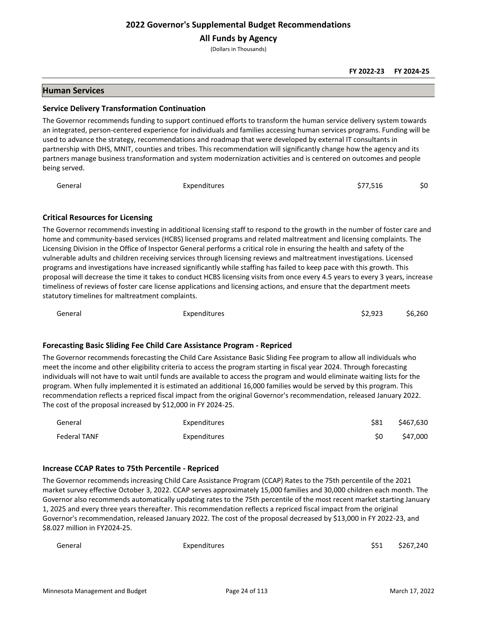**All Funds by Agency**

(Dollars in Thousands)

#### **FY 2022-23 FY 2024-25**

## **Human Services**

#### **Service Delivery Transformation Continuation**

The Governor recommends funding to support continued efforts to transform the human service delivery system towards an integrated, person-centered experience for individuals and families accessing human services programs. Funding will be used to advance the strategy, recommendations and roadmap that were developed by external IT consultants in partnership with DHS, MNIT, counties and tribes. This recommendation will significantly change how the agency and its partners manage business transformation and system modernization activities and is centered on outcomes and people being served.

| General | Expenditures | \$77,516<br>\$0 |
|---------|--------------|-----------------|
|---------|--------------|-----------------|

## **Critical Resources for Licensing**

The Governor recommends investing in additional licensing staff to respond to the growth in the number of foster care and home and community-based services (HCBS) licensed programs and related maltreatment and licensing complaints. The Licensing Division in the Office of Inspector General performs a critical role in ensuring the health and safety of the vulnerable adults and children receiving services through licensing reviews and maltreatment investigations. Licensed programs and investigations have increased significantly while staffing has failed to keep pace with this growth. This proposal will decrease the time it takes to conduct HCBS licensing visits from once every 4.5 years to every 3 years, increase timeliness of reviews of foster care license applications and licensing actions, and ensure that the department meets statutory timelines for maltreatment complaints.

General Expenditures \$2,923 \$6,260

#### **Forecasting Basic Sliding Fee Child Care Assistance Program - Repriced**

The Governor recommends forecasting the Child Care Assistance Basic Sliding Fee program to allow all individuals who meet the income and other eligibility criteria to access the program starting in fiscal year 2024. Through forecasting individuals will not have to wait until funds are available to access the program and would eliminate waiting lists for the program. When fully implemented it is estimated an additional 16,000 families would be served by this program. This recommendation reflects a repriced fiscal impact from the original Governor's recommendation, released January 2022. The cost of the proposal increased by \$12,000 in FY 2024-25.

| General             | Expenditures | \$81 | \$467,630 |
|---------------------|--------------|------|-----------|
| <b>Federal TANF</b> | Expenditures |      | \$47,000  |

#### **Increase CCAP Rates to 75th Percentile - Repriced**

The Governor recommends increasing Child Care Assistance Program (CCAP) Rates to the 75th percentile of the 2021 market survey effective October 3, 2022. CCAP serves approximately 15,000 families and 30,000 children each month. The Governor also recommends automatically updating rates to the 75th percentile of the most recent market starting January 1, 2025 and every three years thereafter. This recommendation reflects a repriced fiscal impact from the original Governor's recommendation, released January 2022. The cost of the proposal decreased by \$13,000 in FY 2022-23, and \$8.027 million in FY2024-25.

| General | Expenditures | \$51 \$267,240 |
|---------|--------------|----------------|
|         |              |                |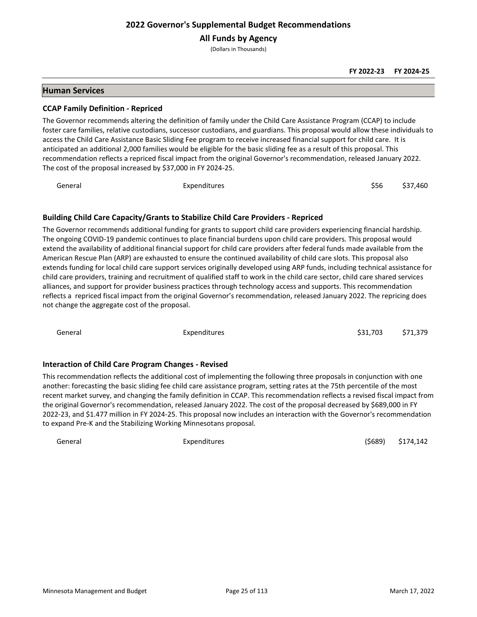**All Funds by Agency**

(Dollars in Thousands)

#### **FY 2022-23 FY 2024-25**

## **Human Services**

#### **CCAP Family Definition - Repriced**

The Governor recommends altering the definition of family under the Child Care Assistance Program (CCAP) to include foster care families, relative custodians, successor custodians, and guardians. This proposal would allow these individuals to access the Child Care Assistance Basic Sliding Fee program to receive increased financial support for child care. It is anticipated an additional 2,000 families would be eligible for the basic sliding fee as a result of this proposal. This recommendation reflects a repriced fiscal impact from the original Governor's recommendation, released January 2022. The cost of the proposal increased by \$37,000 in FY 2024-25.

General Expenditures \$56 \$37,460

## **Building Child Care Capacity/Grants to Stabilize Child Care Providers - Repriced**

The Governor recommends additional funding for grants to support child care providers experiencing financial hardship. The ongoing COVID-19 pandemic continues to place financial burdens upon child care providers. This proposal would extend the availability of additional financial support for child care providers after federal funds made available from the American Rescue Plan (ARP) are exhausted to ensure the continued availability of child care slots. This proposal also extends funding for local child care support services originally developed using ARP funds, including technical assistance for child care providers, training and recruitment of qualified staff to work in the child care sector, child care shared services alliances, and support for provider business practices through technology access and supports. This recommendation reflects a repriced fiscal impact from the original Governor's recommendation, released January 2022. The repricing does not change the aggregate cost of the proposal.

| General | Expenditures                                                                                                           | \$31,703 | \$71.379 |
|---------|------------------------------------------------------------------------------------------------------------------------|----------|----------|
|         |                                                                                                                        |          |          |
|         | <b>Interaction of Child Care Program Changes - Revised</b>                                                             |          |          |
|         | This recommendation reflects the additional cost of implementing the following three proposals in conjunction with one |          |          |

another: forecasting the basic sliding fee child care assistance program, setting rates at the 75th percentile of the most recent market survey, and changing the family definition in CCAP. This recommendation reflects a revised fiscal impact from the original Governor's recommendation, released January 2022. The cost of the proposal decreased by \$689,000 in FY 2022-23, and \$1.477 million in FY 2024-25. This proposal now includes an interaction with the Governor's recommendation to expand Pre-K and the Stabilizing Working Minnesotans proposal.

General Expenditures (\$689) \$174,142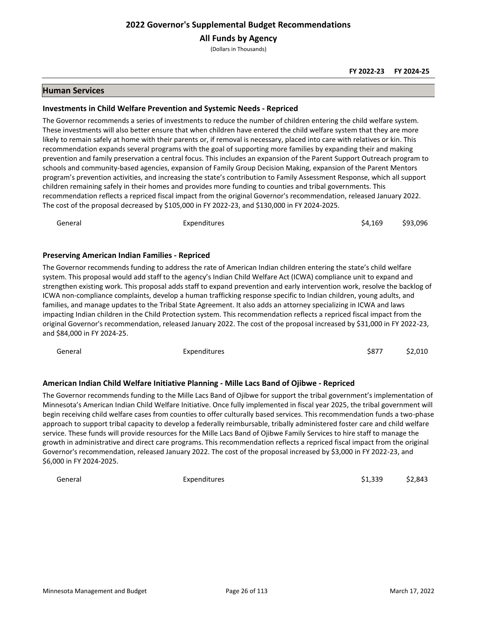**All Funds by Agency**

(Dollars in Thousands)

## **Human Services**

#### **Investments in Child Welfare Prevention and Systemic Needs - Repriced**

The Governor recommends a series of investments to reduce the number of children entering the child welfare system. These investments will also better ensure that when children have entered the child welfare system that they are more likely to remain safely at home with their parents or, if removal is necessary, placed into care with relatives or kin. This recommendation expands several programs with the goal of supporting more families by expanding their and making prevention and family preservation a central focus. This includes an expansion of the Parent Support Outreach program to schools and community-based agencies, expansion of Family Group Decision Making, expansion of the Parent Mentors program's prevention activities, and increasing the state's contribution to Family Assessment Response, which all support children remaining safely in their homes and provides more funding to counties and tribal governments. This recommendation reflects a repriced fiscal impact from the original Governor's recommendation, released January 2022. The cost of the proposal decreased by \$105,000 in FY 2022-23, and \$130,000 in FY 2024-2025.

| General                                               | Expenditures                                                                                                                                                                                                                                                                                                                                                                                                                                                                                                                                                                                                          | \$4.169 | \$93.096 |
|-------------------------------------------------------|-----------------------------------------------------------------------------------------------------------------------------------------------------------------------------------------------------------------------------------------------------------------------------------------------------------------------------------------------------------------------------------------------------------------------------------------------------------------------------------------------------------------------------------------------------------------------------------------------------------------------|---------|----------|
| <b>Preserving American Indian Families - Repriced</b> |                                                                                                                                                                                                                                                                                                                                                                                                                                                                                                                                                                                                                       |         |          |
|                                                       | The Governor recommends funding to address the rate of American Indian children entering the state's child welfare<br>system. This proposal would add staff to the agency's Indian Child Welfare Act (ICWA) compliance unit to expand and<br>strengthen existing work. This proposal adds staff to expand prevention and early intervention work, resolve the backlog of<br>ICWA non-compliance complaints, develop a human trafficking response specific to Indian children, young adults, and<br>families, and manage updates to the Tribal State Agreement. It also adds an attorney specializing in ICWA and laws |         |          |

impacting Indian children in the Child Protection system. This recommendation reflects a repriced fiscal impact from the original Governor's recommendation, released January 2022. The cost of the proposal increased by \$31,000 in FY 2022-23, and \$84,000 in FY 2024-25.

General Expenditures \$877 \$2,010

## **American Indian Child Welfare Initiative Planning - Mille Lacs Band of Ojibwe - Repriced**

The Governor recommends funding to the Mille Lacs Band of Ojibwe for support the tribal government's implementation of Minnesota's American Indian Child Welfare Initiative. Once fully implemented in fiscal year 2025, the tribal government will begin receiving child welfare cases from counties to offer culturally based services. This recommendation funds a two-phase approach to support tribal capacity to develop a federally reimbursable, tribally administered foster care and child welfare service. These funds will provide resources for the Mille Lacs Band of Ojibwe Family Services to hire staff to manage the growth in administrative and direct care programs. This recommendation reflects a repriced fiscal impact from the original Governor's recommendation, released January 2022. The cost of the proposal increased by \$3,000 in FY 2022-23, and \$6,000 in FY 2024-2025.

| General | Expenditures | \$1,339 | \$2,843 |
|---------|--------------|---------|---------|
|         |              |         |         |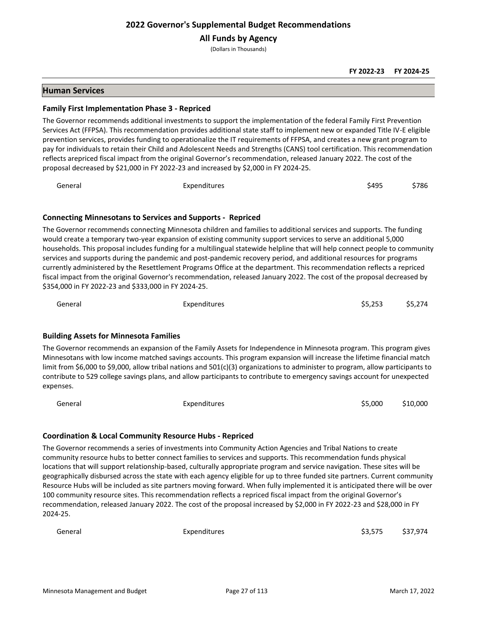**All Funds by Agency**

(Dollars in Thousands)

#### **FY 2022-23 FY 2024-25**

## **Human Services**

#### **Family First Implementation Phase 3 - Repriced**

The Governor recommends additional investments to support the implementation of the federal Family First Prevention Services Act (FFPSA). This recommendation provides additional state staff to implement new or expanded Title IV-E eligible prevention services, provides funding to operationalize the IT requirements of FFPSA, and creates a new grant program to pay for individuals to retain their Child and Adolescent Needs and Strengths (CANS) tool certification. This recommendation reflects arepriced fiscal impact from the original Governor's recommendation, released January 2022. The cost of the proposal decreased by \$21,000 in FY 2022-23 and increased by \$2,000 in FY 2024-25.

General Expenditures \$495 \$786

## **Connecting Minnesotans to Services and Supports - Repriced**

The Governor recommends connecting Minnesota children and families to additional services and supports. The funding would create a temporary two-year expansion of existing community support services to serve an additional 5,000 households. This proposal includes funding for a multilingual statewide helpline that will help connect people to community services and supports during the pandemic and post-pandemic recovery period, and additional resources for programs currently administered by the Resettlement Programs Office at the department. This recommendation reflects a repriced fiscal impact from the original Governor's recommendation, released January 2022. The cost of the proposal decreased by \$354,000 in FY 2022-23 and \$333,000 in FY 2024-25.

| General | <b>Expenditures</b> | \$5,253 | \$5,274 |
|---------|---------------------|---------|---------|
|         |                     |         |         |

## **Building Assets for Minnesota Families**

The Governor recommends an expansion of the Family Assets for Independence in Minnesota program. This program gives Minnesotans with low income matched savings accounts. This program expansion will increase the lifetime financial match limit from \$6,000 to \$9,000, allow tribal nations and 501(c)(3) organizations to administer to program, allow participants to contribute to 529 college savings plans, and allow participants to contribute to emergency savings account for unexpected expenses.

| General | Expenditures | \$5,000 | \$10,000 |
|---------|--------------|---------|----------|

## **Coordination & Local Community Resource Hubs - Repriced**

The Governor recommends a series of investments into Community Action Agencies and Tribal Nations to create community resource hubs to better connect families to services and supports. This recommendation funds physical locations that will support relationship-based, culturally appropriate program and service navigation. These sites will be geographically disbursed across the state with each agency eligible for up to three funded site partners. Current community Resource Hubs will be included as site partners moving forward. When fully implemented it is anticipated there will be over 100 community resource sites. This recommendation reflects a repriced fiscal impact from the original Governor's recommendation, released January 2022. The cost of the proposal increased by \$2,000 in FY 2022-23 and \$28,000 in FY 2024-25.

General Expenditures \$3,575 \$37,974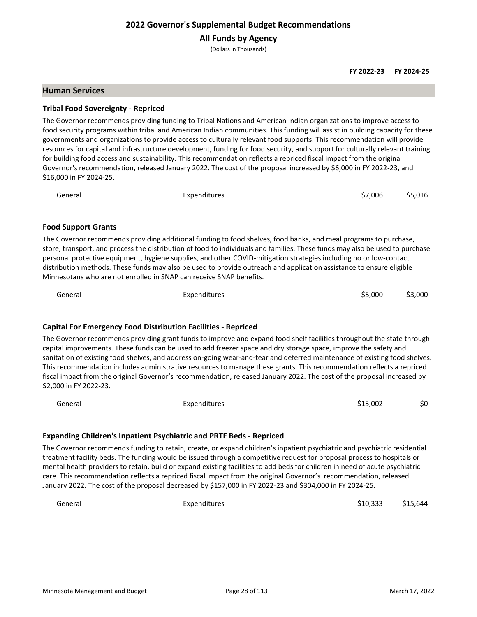**All Funds by Agency**

(Dollars in Thousands)

#### **FY 2022-23 FY 2024-25**

## **Human Services**

#### **Tribal Food Sovereignty - Repriced**

The Governor recommends providing funding to Tribal Nations and American Indian organizations to improve access to food security programs within tribal and American Indian communities. This funding will assist in building capacity for these governments and organizations to provide access to culturally relevant food supports. This recommendation will provide resources for capital and infrastructure development, funding for food security, and support for culturally relevant training for building food access and sustainability. This recommendation reflects a repriced fiscal impact from the original Governor's recommendation, released January 2022. The cost of the proposal increased by \$6,000 in FY 2022-23, and \$16,000 in FY 2024-25.

| \$7,006<br>General<br>Expenditures | \$5,016 |
|------------------------------------|---------|
|------------------------------------|---------|

#### **Food Support Grants**

The Governor recommends providing additional funding to food shelves, food banks, and meal programs to purchase, store, transport, and process the distribution of food to individuals and families. These funds may also be used to purchase personal protective equipment, hygiene supplies, and other COVID-mitigation strategies including no or low-contact distribution methods. These funds may also be used to provide outreach and application assistance to ensure eligible Minnesotans who are not enrolled in SNAP can receive SNAP benefits.

| General | Expenditures | \$5,000 | \$3,000 |
|---------|--------------|---------|---------|
|         |              |         |         |

## **Capital For Emergency Food Distribution Facilities - Repriced**

The Governor recommends providing grant funds to improve and expand food shelf facilities throughout the state through capital improvements. These funds can be used to add freezer space and dry storage space, improve the safety and sanitation of existing food shelves, and address on-going wear-and-tear and deferred maintenance of existing food shelves. This recommendation includes administrative resources to manage these grants. This recommendation reflects a repriced fiscal impact from the original Governor's recommendation, released January 2022. The cost of the proposal increased by \$2,000 in FY 2022-23.

| General | <b>Expenditures</b> | \$15,002 | \$0 |
|---------|---------------------|----------|-----|
|         |                     |          |     |

#### **Expanding Children's Inpatient Psychiatric and PRTF Beds - Repriced**

The Governor recommends funding to retain, create, or expand children's inpatient psychiatric and psychiatric residential treatment facility beds. The funding would be issued through a competitive request for proposal process to hospitals or mental health providers to retain, build or expand existing facilities to add beds for children in need of acute psychiatric care. This recommendation reflects a repriced fiscal impact from the original Governor's recommendation, released January 2022. The cost of the proposal decreased by \$157,000 in FY 2022-23 and \$304,000 in FY 2024-25.

General Expenditures \$10,333 \$15,644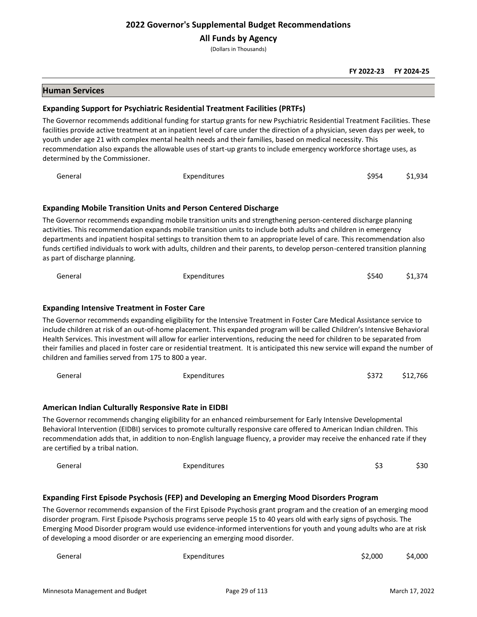#### **All Funds by Agency**

(Dollars in Thousands)

#### **FY 2022-23 FY 2024-25**

#### **Human Services**

#### **Expanding Support for Psychiatric Residential Treatment Facilities (PRTFs)**

The Governor recommends additional funding for startup grants for new Psychiatric Residential Treatment Facilities. These facilities provide active treatment at an inpatient level of care under the direction of a physician, seven days per week, to youth under age 21 with complex mental health needs and their families, based on medical necessity. This recommendation also expands the allowable uses of start-up grants to include emergency workforce shortage uses, as determined by the Commissioner.

General Expenditures \$954 \$1,934 **Expanding Mobile Transition Units and Person Centered Discharge**

The Governor recommends expanding mobile transition units and strengthening person-centered discharge planning activities. This recommendation expands mobile transition units to include both adults and children in emergency departments and inpatient hospital settings to transition them to an appropriate level of care. This recommendation also funds certified individuals to work with adults, children and their parents, to develop person-centered transition planning as part of discharge planning.

| General                                              | Expenditures                                                                                                                                                                                                                                                                                                                                                                                                                                                                                                          | \$540 | \$1.374  |
|------------------------------------------------------|-----------------------------------------------------------------------------------------------------------------------------------------------------------------------------------------------------------------------------------------------------------------------------------------------------------------------------------------------------------------------------------------------------------------------------------------------------------------------------------------------------------------------|-------|----------|
| <b>Expanding Intensive Treatment in Foster Care</b>  |                                                                                                                                                                                                                                                                                                                                                                                                                                                                                                                       |       |          |
| children and families served from 175 to 800 a year. | The Governor recommends expanding eligibility for the Intensive Treatment in Foster Care Medical Assistance service to<br>include children at risk of an out-of-home placement. This expanded program will be called Children's Intensive Behavioral<br>Health Services. This investment will allow for earlier interventions, reducing the need for children to be separated from<br>their families and placed in foster care or residential treatment. It is anticipated this new service will expand the number of |       |          |
| General                                              | Expenditures                                                                                                                                                                                                                                                                                                                                                                                                                                                                                                          | \$372 | \$12,766 |
|                                                      |                                                                                                                                                                                                                                                                                                                                                                                                                                                                                                                       |       |          |

#### **American Indian Culturally Responsive Rate in EIDBI**

The Governor recommends changing eligibility for an enhanced reimbursement for Early Intensive Developmental Behavioral Intervention (EIDBI) services to promote culturally responsive care offered to American Indian children. This recommendation adds that, in addition to non-English language fluency, a provider may receive the enhanced rate if they are certified by a tribal nation.

| General<br>_ _ _ | Expenditures | . .<br>-- | \$30 |
|------------------|--------------|-----------|------|
|                  |              |           |      |

## **Expanding First Episode Psychosis (FEP) and Developing an Emerging Mood Disorders Program**

The Governor recommends expansion of the First Episode Psychosis grant program and the creation of an emerging mood disorder program. First Episode Psychosis programs serve people 15 to 40 years old with early signs of psychosis. The Emerging Mood Disorder program would use evidence-informed interventions for youth and young adults who are at risk of developing a mood disorder or are experiencing an emerging mood disorder.

| General | Expenditures | \$2,000 | \$4,000 |
|---------|--------------|---------|---------|
|         |              |         |         |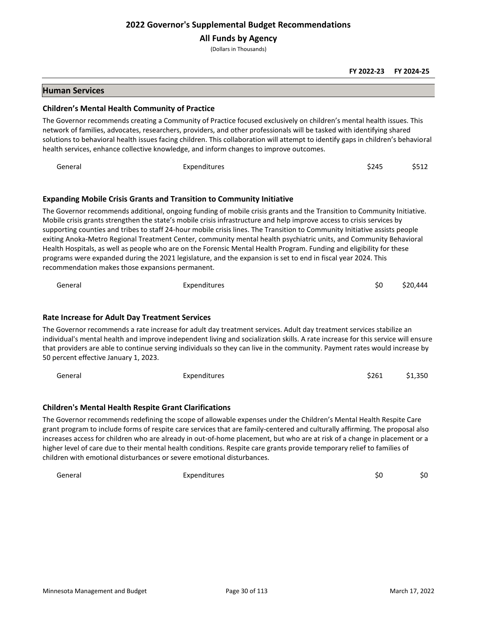**All Funds by Agency**

(Dollars in Thousands)

**FY 2022-23 FY 2024-25**

## **Human Services**

#### **Children's Mental Health Community of Practice**

The Governor recommends creating a Community of Practice focused exclusively on children's mental health issues. This network of families, advocates, researchers, providers, and other professionals will be tasked with identifying shared solutions to behavioral health issues facing children. This collaboration will attempt to identify gaps in children's behavioral health services, enhance collective knowledge, and inform changes to improve outcomes.

General Expenditures \$245 \$512

# **Expanding Mobile Crisis Grants and Transition to Community Initiative**

The Governor recommends additional, ongoing funding of mobile crisis grants and the Transition to Community Initiative. Mobile crisis grants strengthen the state's mobile crisis infrastructure and help improve access to crisis services by supporting counties and tribes to staff 24-hour mobile crisis lines. The Transition to Community Initiative assists people exiting Anoka-Metro Regional Treatment Center, community mental health psychiatric units, and Community Behavioral Health Hospitals, as well as people who are on the Forensic Mental Health Program. Funding and eligibility for these programs were expanded during the 2021 legislature, and the expansion is set to end in fiscal year 2024. This recommendation makes those expansions permanent.

General Expenditures \$0 \$20,444

## **Rate Increase for Adult Day Treatment Services**

The Governor recommends a rate increase for adult day treatment services. Adult day treatment services stabilize an individual's mental health and improve independent living and socialization skills. A rate increase for this service will ensure that providers are able to continue serving individuals so they can live in the community. Payment rates would increase by 50 percent effective January 1, 2023.

| General | Expenditures | \$261 | \$1,350 |
|---------|--------------|-------|---------|
|---------|--------------|-------|---------|

## **Children's Mental Health Respite Grant Clarifications**

The Governor recommends redefining the scope of allowable expenses under the Children's Mental Health Respite Care grant program to include forms of respite care services that are family-centered and culturally affirming. The proposal also increases access for children who are already in out-of-home placement, but who are at risk of a change in placement or a higher level of care due to their mental health conditions. Respite care grants provide temporary relief to families of children with emotional disturbances or severe emotional disturbances.

General Expenditures \$0 \$0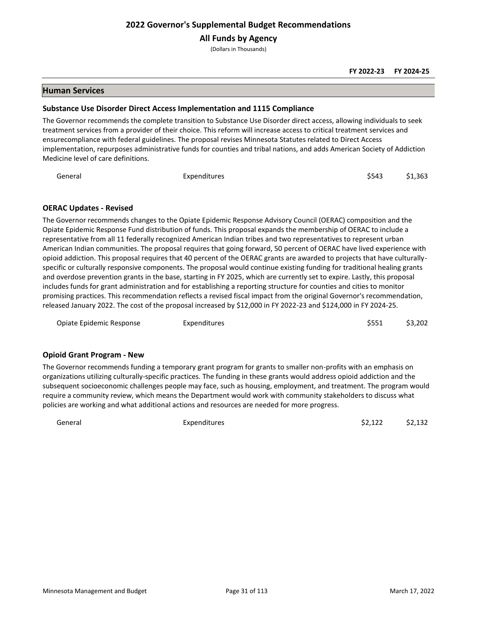**All Funds by Agency**

(Dollars in Thousands)

## **Human Services**

#### **Substance Use Disorder Direct Access Implementation and 1115 Compliance**

The Governor recommends the complete transition to Substance Use Disorder direct access, allowing individuals to seek treatment services from a provider of their choice. This reform will increase access to critical treatment services and ensurecompliance with federal guidelines. The proposal revises Minnesota Statutes related to Direct Access implementation, repurposes administrative funds for counties and tribal nations, and adds American Society of Addiction Medicine level of care definitions.

| General<br>Expenditures | \$543 | \$1,363 |
|-------------------------|-------|---------|
|-------------------------|-------|---------|

## **OERAC Updates - Revised**

The Governor recommends changes to the Opiate Epidemic Response Advisory Council (OERAC) composition and the Opiate Epidemic Response Fund distribution of funds. This proposal expands the membership of OERAC to include a representative from all 11 federally recognized American Indian tribes and two representatives to represent urban American Indian communities. The proposal requires that going forward, 50 percent of OERAC have lived experience with opioid addiction. This proposal requires that 40 percent of the OERAC grants are awarded to projects that have culturallyspecific or culturally responsive components. The proposal would continue existing funding for traditional healing grants and overdose prevention grants in the base, starting in FY 2025, which are currently set to expire. Lastly, this proposal includes funds for grant administration and for establishing a reporting structure for counties and cities to monitor promising practices. This recommendation reflects a revised fiscal impact from the original Governor's recommendation, released January 2022. The cost of the proposal increased by \$12,000 in FY 2022-23 and \$124,000 in FY 2024-25.

| Opiate Epidemic Response | Expenditures | \$551 | \$3,202 |
|--------------------------|--------------|-------|---------|
|                          |              |       |         |

## **Opioid Grant Program - New**

The Governor recommends funding a temporary grant program for grants to smaller non-profits with an emphasis on organizations utilizing culturally-specific practices. The funding in these grants would address opioid addiction and the subsequent socioeconomic challenges people may face, such as housing, employment, and treatment. The program would require a community review, which means the Department would work with community stakeholders to discuss what policies are working and what additional actions and resources are needed for more progress.

General Expenditures \$2,122 \$2,132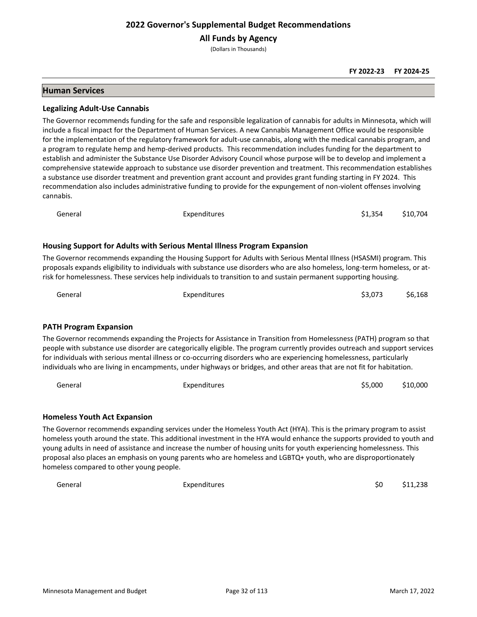**All Funds by Agency**

(Dollars in Thousands)

## **Human Services**

#### **Legalizing Adult-Use Cannabis**

The Governor recommends funding for the safe and responsible legalization of cannabis for adults in Minnesota, which will include a fiscal impact for the Department of Human Services. A new Cannabis Management Office would be responsible for the implementation of the regulatory framework for adult-use cannabis, along with the medical cannabis program, and a program to regulate hemp and hemp-derived products. This recommendation includes funding for the department to establish and administer the Substance Use Disorder Advisory Council whose purpose will be to develop and implement a comprehensive statewide approach to substance use disorder prevention and treatment. This recommendation establishes a substance use disorder treatment and prevention grant account and provides grant funding starting in FY 2024. This recommendation also includes administrative funding to provide for the expungement of non-violent offenses involving cannabis.

| General | Expenditures | \$1,354 \$10,704 |  |
|---------|--------------|------------------|--|
|         |              |                  |  |

## **Housing Support for Adults with Serious Mental Illness Program Expansion**

The Governor recommends expanding the Housing Support for Adults with Serious Mental Illness (HSASMI) program. This proposals expands eligibility to individuals with substance use disorders who are also homeless, long-term homeless, or atrisk for homelessness. These services help individuals to transition to and sustain permanent supporting housing.

| General | Expenditures | \$3,073 | \$6,168 |
|---------|--------------|---------|---------|
|         |              |         |         |

#### **PATH Program Expansion**

The Governor recommends expanding the Projects for Assistance in Transition from Homelessness (PATH) program so that people with substance use disorder are categorically eligible. The program currently provides outreach and support services for individuals with serious mental illness or co-occurring disorders who are experiencing homelessness, particularly individuals who are living in encampments, under highways or bridges, and other areas that are not fit for habitation.

| General | Expenditures | \$5,000 | \$10,000 |
|---------|--------------|---------|----------|
|---------|--------------|---------|----------|

#### **Homeless Youth Act Expansion**

The Governor recommends expanding services under the Homeless Youth Act (HYA). This is the primary program to assist homeless youth around the state. This additional investment in the HYA would enhance the supports provided to youth and young adults in need of assistance and increase the number of housing units for youth experiencing homelessness. This proposal also places an emphasis on young parents who are homeless and LGBTQ+ youth, who are disproportionately homeless compared to other young people.

General Expenditures \$0 \$11,238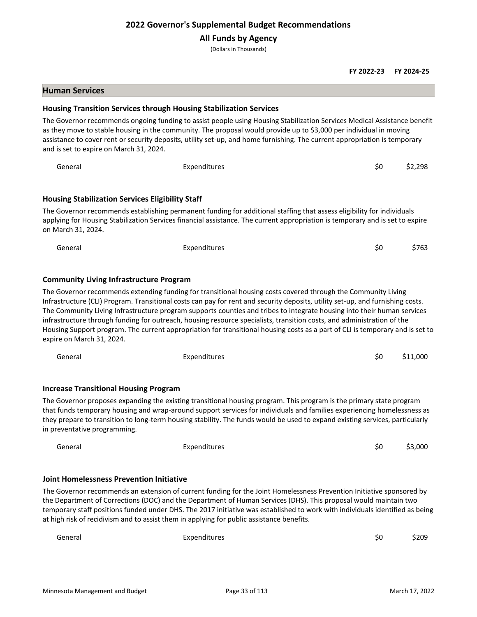## **All Funds by Agency**

(Dollars in Thousands)

#### **FY 2022-23 FY 2024-25**

#### **Human Services**

#### **Housing Transition Services through Housing Stabilization Services**

The Governor recommends ongoing funding to assist people using Housing Stabilization Services Medical Assistance benefit as they move to stable housing in the community. The proposal would provide up to \$3,000 per individual in moving assistance to cover rent or security deposits, utility set-up, and home furnishing. The current appropriation is temporary and is set to expire on March 31, 2024.

| General                                                 | Expenditures                                                                                                                                                                                                                                            | \$0 | \$2.298 |
|---------------------------------------------------------|---------------------------------------------------------------------------------------------------------------------------------------------------------------------------------------------------------------------------------------------------------|-----|---------|
| <b>Housing Stabilization Services Eligibility Staff</b> |                                                                                                                                                                                                                                                         |     |         |
| on March 31, 2024.                                      | The Governor recommends establishing permanent funding for additional staffing that assess eligibility for individuals<br>applying for Housing Stabilization Services financial assistance. The current appropriation is temporary and is set to expire |     |         |
| General                                                 | Expenditures                                                                                                                                                                                                                                            | S0  | \$763   |

#### **Community Living Infrastructure Program**

The Governor recommends extending funding for transitional housing costs covered through the Community Living Infrastructure (CLI) Program. Transitional costs can pay for rent and security deposits, utility set-up, and furnishing costs. The Community Living Infrastructure program supports counties and tribes to integrate housing into their human services infrastructure through funding for outreach, housing resource specialists, transition costs, and administration of the Housing Support program. The current appropriation for transitional housing costs as a part of CLI is temporary and is set to expire on March 31, 2024.

| General                                      | Expenditures                                                                                                                                                                                                                                                                                                                                                                    | \$0 | \$11,000 |
|----------------------------------------------|---------------------------------------------------------------------------------------------------------------------------------------------------------------------------------------------------------------------------------------------------------------------------------------------------------------------------------------------------------------------------------|-----|----------|
| <b>Increase Transitional Housing Program</b> |                                                                                                                                                                                                                                                                                                                                                                                 |     |          |
|                                              | The Governor proposes expanding the existing transitional housing program. This program is the primary state program<br>that funds temporary housing and wrap-around support services for individuals and families experiencing homelessness as<br>they prepare to transition to long-term housing stability. The funds would be used to expand existing services, particularly |     |          |

in preventative programming.

| General | Expenditures | \$0 | \$3,000 |
|---------|--------------|-----|---------|
|         |              |     |         |
|         |              |     |         |

#### **Joint Homelessness Prevention Initiative**

The Governor recommends an extension of current funding for the Joint Homelessness Prevention Initiative sponsored by the Department of Corrections (DOC) and the Department of Human Services (DHS). This proposal would maintain two temporary staff positions funded under DHS. The 2017 initiative was established to work with individuals identified as being at high risk of recidivism and to assist them in applying for public assistance benefits.

| General | Expenditures | \$0 | \$209 |
|---------|--------------|-----|-------|
|         |              |     |       |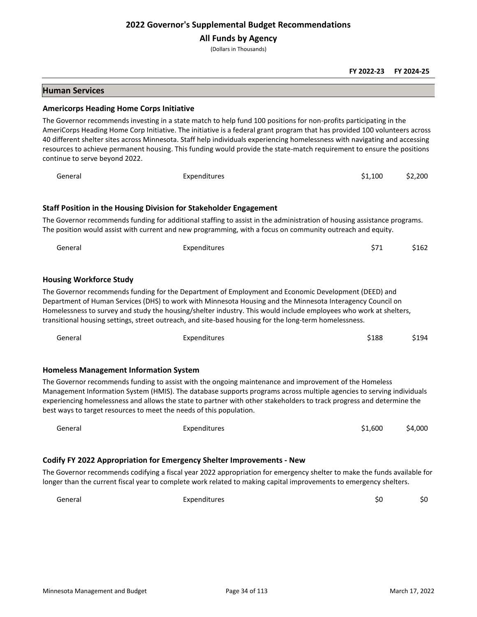**All Funds by Agency**

(Dollars in Thousands)

#### **FY 2022-23 FY 2024-25**

# **Human Services**

#### **Americorps Heading Home Corps Initiative**

The Governor recommends investing in a state match to help fund 100 positions for non-profits participating in the AmeriCorps Heading Home Corp Initiative. The initiative is a federal grant program that has provided 100 volunteers across 40 different shelter sites across Minnesota. Staff help individuals experiencing homelessness with navigating and accessing resources to achieve permanent housing. This funding would provide the state-match requirement to ensure the positions continue to serve beyond 2022.

| General                        | Expenditures                                                                                                                                                                                                                                                                                                                                                                                                                                      | \$1,100 | \$2,200 |
|--------------------------------|---------------------------------------------------------------------------------------------------------------------------------------------------------------------------------------------------------------------------------------------------------------------------------------------------------------------------------------------------------------------------------------------------------------------------------------------------|---------|---------|
|                                | <b>Staff Position in the Housing Division for Stakeholder Engagement</b>                                                                                                                                                                                                                                                                                                                                                                          |         |         |
|                                | The Governor recommends funding for additional staffing to assist in the administration of housing assistance programs.<br>The position would assist with current and new programming, with a focus on community outreach and equity.                                                                                                                                                                                                             |         |         |
| General                        | Expenditures                                                                                                                                                                                                                                                                                                                                                                                                                                      | \$71    | \$162   |
| <b>Housing Workforce Study</b> |                                                                                                                                                                                                                                                                                                                                                                                                                                                   |         |         |
|                                | The Governor recommends funding for the Department of Employment and Economic Development (DEED) and<br>Department of Human Services (DHS) to work with Minnesota Housing and the Minnesota Interagency Council on<br>Homelessness to survey and study the housing/shelter industry. This would include employees who work at shelters,<br>transitional housing settings, street outreach, and site-based housing for the long-term homelessness. |         |         |
| General                        | Expenditures                                                                                                                                                                                                                                                                                                                                                                                                                                      | \$188   | \$194   |

#### **Homeless Management Information System**

The Governor recommends funding to assist with the ongoing maintenance and improvement of the Homeless Management Information System (HMIS). The database supports programs across multiple agencies to serving individuals experiencing homelessness and allows the state to partner with other stakeholders to track progress and determine the best ways to target resources to meet the needs of this population.

| General | Expenditures                                                                                                           | \$1.600 | \$4,000 |
|---------|------------------------------------------------------------------------------------------------------------------------|---------|---------|
|         |                                                                                                                        |         |         |
|         | Codify FY 2022 Appropriation for Emergency Shelter Improvements - New                                                  |         |         |
|         | The Governor recommends codifying a fiscal year 2022 annonriation for emergency shelter to make the funds available fo |         |         |

The Governor recommends codifying a fiscal year 2022 appropriation for emergency shelter to make the funds available for longer than the current fiscal year to complete work related to making capital improvements to emergency shelters.

General Expenditures \$0 \$0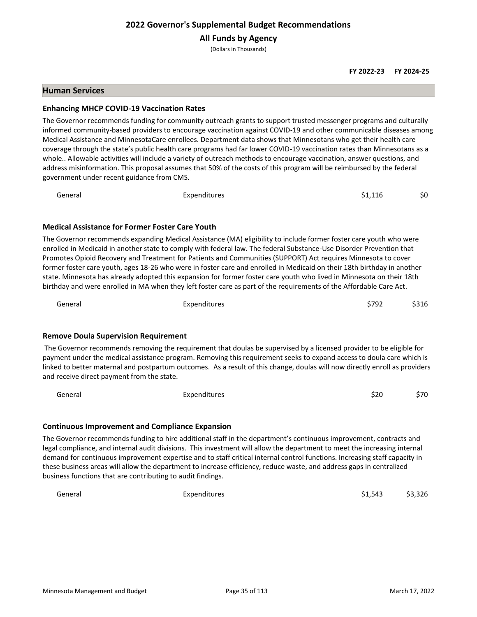**All Funds by Agency**

(Dollars in Thousands)

#### **FY 2022-23 FY 2024-25**

## **Human Services**

#### **Enhancing MHCP COVID-19 Vaccination Rates**

The Governor recommends funding for community outreach grants to support trusted messenger programs and culturally informed community-based providers to encourage vaccination against COVID-19 and other communicable diseases among Medical Assistance and MinnesotaCare enrollees. Department data shows that Minnesotans who get their health care coverage through the state's public health care programs had far lower COVID-19 vaccination rates than Minnesotans as a whole.. Allowable activities will include a variety of outreach methods to encourage vaccination, answer questions, and address misinformation. This proposal assumes that 50% of the costs of this program will be reimbursed by the federal government under recent guidance from CMS.

| General | Expenditures | \$1.116 | \$0 |
|---------|--------------|---------|-----|
|---------|--------------|---------|-----|

## **Medical Assistance for Former Foster Care Youth**

The Governor recommends expanding Medical Assistance (MA) eligibility to include former foster care youth who were enrolled in Medicaid in another state to comply with federal law. The federal Substance-Use Disorder Prevention that Promotes Opioid Recovery and Treatment for Patients and Communities (SUPPORT) Act requires Minnesota to cover former foster care youth, ages 18-26 who were in foster care and enrolled in Medicaid on their 18th birthday in another state. Minnesota has already adopted this expansion for former foster care youth who lived in Minnesota on their 18th birthday and were enrolled in MA when they left foster care as part of the requirements of the Affordable Care Act.

| General | Expenditures | \$792 | \$316 |
|---------|--------------|-------|-------|
|---------|--------------|-------|-------|

## **Remove Doula Supervision Requirement**

The Governor recommends removing the requirement that doulas be supervised by a licensed provider to be eligible for payment under the medical assistance program. Removing this requirement seeks to expand access to doula care which is linked to better maternal and postpartum outcomes. As a result of this change, doulas will now directly enroll as providers and receive direct payment from the state.

| General | Expenditures | \$20 | \$70 |
|---------|--------------|------|------|
|         |              |      |      |

#### **Continuous Improvement and Compliance Expansion**

The Governor recommends funding to hire additional staff in the department's continuous improvement, contracts and legal compliance, and internal audit divisions. This investment will allow the department to meet the increasing internal demand for continuous improvement expertise and to staff critical internal control functions. Increasing staff capacity in these business areas will allow the department to increase efficiency, reduce waste, and address gaps in centralized business functions that are contributing to audit findings.

General Expenditures \$1,543 \$3,326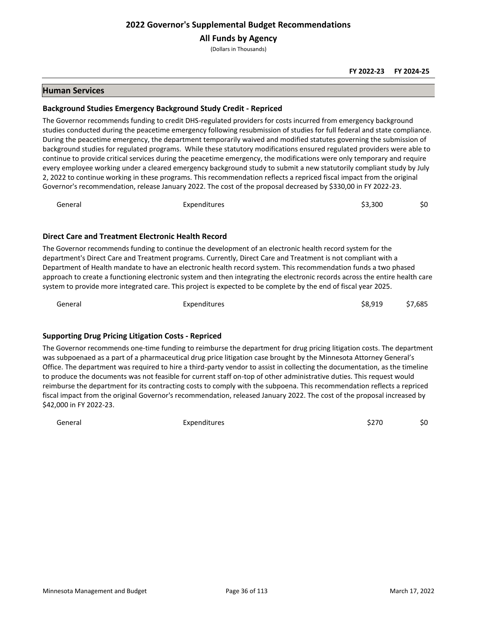**All Funds by Agency**

(Dollars in Thousands)

## **Human Services**

## **Background Studies Emergency Background Study Credit - Repriced**

The Governor recommends funding to credit DHS-regulated providers for costs incurred from emergency background studies conducted during the peacetime emergency following resubmission of studies for full federal and state compliance. During the peacetime emergency, the department temporarily waived and modified statutes governing the submission of background studies for regulated programs. While these statutory modifications ensured regulated providers were able to continue to provide critical services during the peacetime emergency, the modifications were only temporary and require every employee working under a cleared emergency background study to submit a new statutorily compliant study by July 2, 2022 to continue working in these programs. This recommendation reflects a repriced fiscal impact from the original Governor's recommendation, release January 2022. The cost of the proposal decreased by \$330,00 in FY 2022-23.

| General | Expenditures | \$3,300 | \$0 |
|---------|--------------|---------|-----|
|---------|--------------|---------|-----|

## **Direct Care and Treatment Electronic Health Record**

The Governor recommends funding to continue the development of an electronic health record system for the department's Direct Care and Treatment programs. Currently, Direct Care and Treatment is not compliant with a Department of Health mandate to have an electronic health record system. This recommendation funds a two phased approach to create a functioning electronic system and then integrating the electronic records across the entire health care system to provide more integrated care. This project is expected to be complete by the end of fiscal year 2025.

General Expenditures \$8,919 \$7,685

## **Supporting Drug Pricing Litigation Costs - Repriced**

The Governor recommends one-time funding to reimburse the department for drug pricing litigation costs. The department was subpoenaed as a part of a pharmaceutical drug price litigation case brought by the Minnesota Attorney General's Office. The department was required to hire a third-party vendor to assist in collecting the documentation, as the timeline to produce the documents was not feasible for current staff on-top of other administrative duties. This request would reimburse the department for its contracting costs to comply with the subpoena. This recommendation reflects a repriced fiscal impact from the original Governor's recommendation, released January 2022. The cost of the proposal increased by \$42,000 in FY 2022-23.

General Expenditures \$270 \$0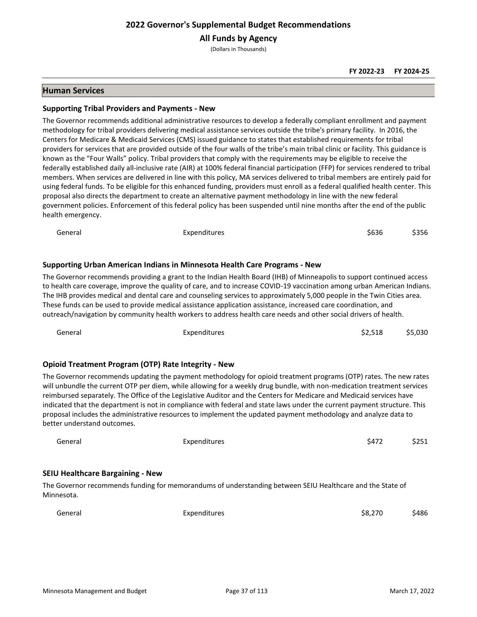**All Funds by Agency**

(Dollars in Thousands)

## **Human Services**

#### **Supporting Tribal Providers and Payments - New**

The Governor recommends additional administrative resources to develop a federally compliant enrollment and payment methodology for tribal providers delivering medical assistance services outside the tribe's primary facility. In 2016, the Centers for Medicare & Medicaid Services (CMS) issued guidance to states that established requirements for tribal providers for services that are provided outside of the four walls of the tribe's main tribal clinic or facility. This guidance is known as the "Four Walls" policy. Tribal providers that comply with the requirements may be eligible to receive the federally established daily all-inclusive rate (AIR) at 100% federal financial participation (FFP) for services rendered to tribal members. When services are delivered in line with this policy, MA services delivered to tribal members are entirely paid for using federal funds. To be eligible for this enhanced funding, providers must enroll as a federal qualified health center. This proposal also directs the department to create an alternative payment methodology in line with the new federal government policies. Enforcement of this federal policy has been suspended until nine months after the end of the public health emergency.

| General | Expenditures                                                                                                             | \$636 | \$356 |
|---------|--------------------------------------------------------------------------------------------------------------------------|-------|-------|
|         | Supporting Urban American Indians in Minnesota Health Care Programs - New                                                |       |       |
|         | The Governor recommends providing a grant to the Indian Health Board (IHB) of Minneapolis to support continued access    |       |       |
|         | to health care coverage, improve the quality of care, and to increase COVID-19 vaccination among urban American Indians. |       |       |
|         | The IHB provides medical and dental care and counseling services to approximately 5,000 people in the Twin Cities area.  |       |       |
|         | These funds can be used to provide medical assistance application assistance, increased care coordination, and           |       |       |

outreach/navigation by community health workers to address health care needs and other social drivers of health.

| General                                               | Expenditures                                                                                                                                                                                                                                                                                                                                                                                                                                                                                                                                                                                                        | \$5,030<br>\$2,518 |
|-------------------------------------------------------|---------------------------------------------------------------------------------------------------------------------------------------------------------------------------------------------------------------------------------------------------------------------------------------------------------------------------------------------------------------------------------------------------------------------------------------------------------------------------------------------------------------------------------------------------------------------------------------------------------------------|--------------------|
|                                                       |                                                                                                                                                                                                                                                                                                                                                                                                                                                                                                                                                                                                                     |                    |
|                                                       | <b>Opioid Treatment Program (OTP) Rate Integrity - New</b>                                                                                                                                                                                                                                                                                                                                                                                                                                                                                                                                                          |                    |
| better understand outcomes.                           | The Governor recommends updating the payment methodology for opioid treatment programs (OTP) rates. The new rates<br>will unbundle the current OTP per diem, while allowing for a weekly drug bundle, with non-medication treatment services<br>reimbursed separately. The Office of the Legislative Auditor and the Centers for Medicare and Medicaid services have<br>indicated that the department is not in compliance with federal and state laws under the current payment structure. This<br>proposal includes the administrative resources to implement the updated payment methodology and analyze data to |                    |
| General                                               | Expenditures                                                                                                                                                                                                                                                                                                                                                                                                                                                                                                                                                                                                        | \$472<br>\$251     |
| <b>SEIU Healthcare Bargaining - New</b><br>Minnesota. | The Governor recommends funding for memorandums of understanding between SEIU Healthcare and the State of                                                                                                                                                                                                                                                                                                                                                                                                                                                                                                           |                    |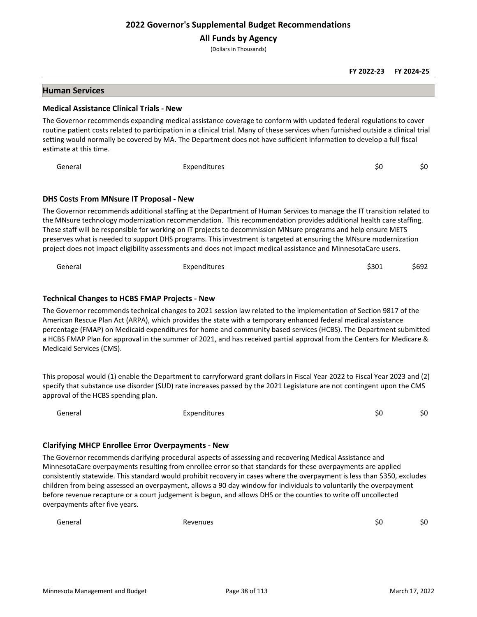**All Funds by Agency**

(Dollars in Thousands)

## **Human Services**

#### **Medical Assistance Clinical Trials - New**

The Governor recommends expanding medical assistance coverage to conform with updated federal regulations to cover routine patient costs related to participation in a clinical trial. Many of these services when furnished outside a clinical trial setting would normally be covered by MA. The Department does not have sufficient information to develop a full fiscal estimate at this time.

General Expenditures \$0 \$0

#### **DHS Costs From MNsure IT Proposal - New**

The Governor recommends additional staffing at the Department of Human Services to manage the IT transition related to the MNsure technology modernization recommendation. This recommendation provides additional health care staffing. These staff will be responsible for working on IT projects to decommission MNsure programs and help ensure METS preserves what is needed to support DHS programs. This investment is targeted at ensuring the MNsure modernization project does not impact eligibility assessments and does not impact medical assistance and MinnesotaCare users.

General Expenditures \$301 \$692

#### **Technical Changes to HCBS FMAP Projects - New**

The Governor recommends technical changes to 2021 session law related to the implementation of Section 9817 of the American Rescue Plan Act (ARPA), which provides the state with a temporary enhanced federal medical assistance percentage (FMAP) on Medicaid expenditures for home and community based services (HCBS). The Department submitted a HCBS FMAP Plan for approval in the summer of 2021, and has received partial approval from the Centers for Medicare & Medicaid Services (CMS).

This proposal would (1) enable the Department to carryforward grant dollars in Fiscal Year 2022 to Fiscal Year 2023 and (2) specify that substance use disorder (SUD) rate increases passed by the 2021 Legislature are not contingent upon the CMS approval of the HCBS spending plan.

General Expenditures \$0 \$0

#### **Clarifying MHCP Enrollee Error Overpayments - New**

The Governor recommends clarifying procedural aspects of assessing and recovering Medical Assistance and MinnesotaCare overpayments resulting from enrollee error so that standards for these overpayments are applied consistently statewide. This standard would prohibit recovery in cases where the overpayment is less than \$350, excludes children from being assessed an overpayment, allows a 90 day window for individuals to voluntarily the overpayment before revenue recapture or a court judgement is begun, and allows DHS or the counties to write off uncollected overpayments after five years.

General Revenues \$0 \$0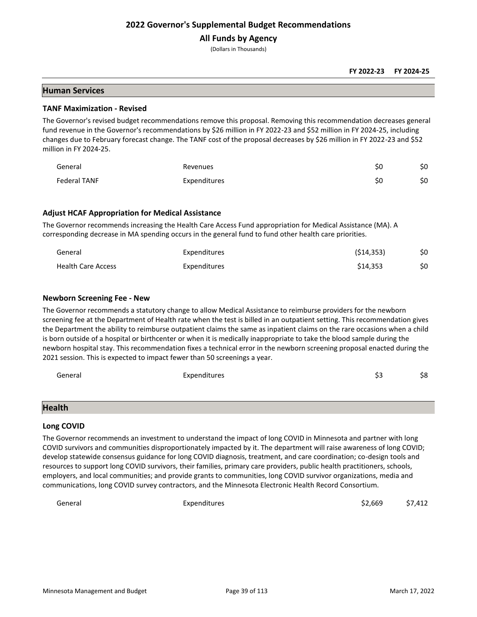# **All Funds by Agency**

(Dollars in Thousands)

#### **FY 2022-23 FY 2024-25**

#### **Human Services**

#### **TANF Maximization - Revised**

The Governor's revised budget recommendations remove this proposal. Removing this recommendation decreases general fund revenue in the Governor's recommendations by \$26 million in FY 2022-23 and \$52 million in FY 2024-25, including changes due to February forecast change. The TANF cost of the proposal decreases by \$26 million in FY 2022-23 and \$52 million in FY 2024-25.

| General             | Revenues     | SС | \$0 |
|---------------------|--------------|----|-----|
| <b>Federal TANF</b> | Expenditures | ŚС | \$0 |

## **Adjust HCAF Appropriation for Medical Assistance**

The Governor recommends increasing the Health Care Access Fund appropriation for Medical Assistance (MA). A corresponding decrease in MA spending occurs in the general fund to fund other health care priorities.

| General                   | <b>Expenditures</b> | (514, 353) | \$0 |
|---------------------------|---------------------|------------|-----|
| <b>Health Care Access</b> | <b>Expenditures</b> | \$14.353   |     |

#### **Newborn Screening Fee - New**

The Governor recommends a statutory change to allow Medical Assistance to reimburse providers for the newborn screening fee at the Department of Health rate when the test is billed in an outpatient setting. This recommendation gives the Department the ability to reimburse outpatient claims the same as inpatient claims on the rare occasions when a child is born outside of a hospital or birthcenter or when it is medically inappropriate to take the blood sample during the newborn hospital stay. This recommendation fixes a technical error in the newborn screening proposal enacted during the 2021 session. This is expected to impact fewer than 50 screenings a year.

| General | Expenditures | \$3 | \$8 |
|---------|--------------|-----|-----|
|         |              |     |     |
|         |              |     |     |

# **Health**

# **Long COVID**

The Governor recommends an investment to understand the impact of long COVID in Minnesota and partner with long COVID survivors and communities disproportionately impacted by it. The department will raise awareness of long COVID; develop statewide consensus guidance for long COVID diagnosis, treatment, and care coordination; co-design tools and resources to support long COVID survivors, their families, primary care providers, public health practitioners, schools, employers, and local communities; and provide grants to communities, long COVID survivor organizations, media and communications, long COVID survey contractors, and the Minnesota Electronic Health Record Consortium.

General Expenditures \$2,669 \$7,412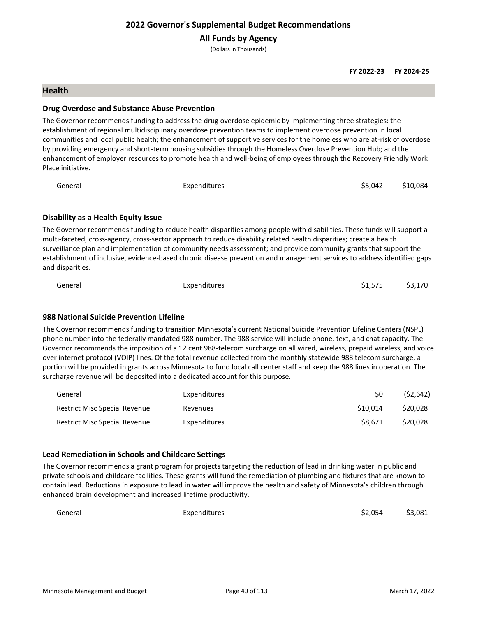**All Funds by Agency**

(Dollars in Thousands)

#### **FY 2022-23 FY 2024-25**

## **Health**

#### **Drug Overdose and Substance Abuse Prevention**

The Governor recommends funding to address the drug overdose epidemic by implementing three strategies: the establishment of regional multidisciplinary overdose prevention teams to implement overdose prevention in local communities and local public health; the enhancement of supportive services for the homeless who are at-risk of overdose by providing emergency and short-term housing subsidies through the Homeless Overdose Prevention Hub; and the enhancement of employer resources to promote health and well-being of employees through the Recovery Friendly Work Place initiative.

| General | Expenditures | \$5,042 \$10,084 |  |
|---------|--------------|------------------|--|
|         |              |                  |  |

## **Disability as a Health Equity Issue**

The Governor recommends funding to reduce health disparities among people with disabilities. These funds will support a multi-faceted, cross-agency, cross-sector approach to reduce disability related health disparities; create a health surveillance plan and implementation of community needs assessment; and provide community grants that support the establishment of inclusive, evidence-based chronic disease prevention and management services to address identified gaps and disparities.

| General | Expenditures | \$1,575 | \$3,170 |
|---------|--------------|---------|---------|
|         |              |         |         |

## **988 National Suicide Prevention Lifeline**

The Governor recommends funding to transition Minnesota's current National Suicide Prevention Lifeline Centers (NSPL) phone number into the federally mandated 988 number. The 988 service will include phone, text, and chat capacity. The Governor recommends the imposition of a 12 cent 988-telecom surcharge on all wired, wireless, prepaid wireless, and voice over internet protocol (VOIP) lines. Of the total revenue collected from the monthly statewide 988 telecom surcharge, a portion will be provided in grants across Minnesota to fund local call center staff and keep the 988 lines in operation. The surcharge revenue will be deposited into a dedicated account for this purpose.

| General                              | <b>Expenditures</b> | S0       | (52, 642) |
|--------------------------------------|---------------------|----------|-----------|
| <b>Restrict Misc Special Revenue</b> | Revenues            | \$10.014 | \$20,028  |
| <b>Restrict Misc Special Revenue</b> | <b>Expenditures</b> | S8.671   | \$20,028  |

## **Lead Remediation in Schools and Childcare Settings**

The Governor recommends a grant program for projects targeting the reduction of lead in drinking water in public and private schools and childcare facilities. These grants will fund the remediation of plumbing and fixtures that are known to contain lead. Reductions in exposure to lead in water will improve the health and safety of Minnesota's children through enhanced brain development and increased lifetime productivity.

| General | Expenditures | \$2,054 | \$3,081 |
|---------|--------------|---------|---------|
|---------|--------------|---------|---------|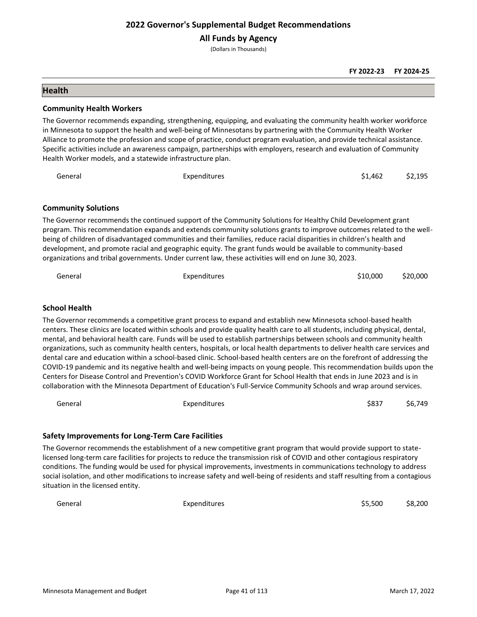**All Funds by Agency**

(Dollars in Thousands)

**FY 2022-23 FY 2024-25**

#### **Health**

#### **Community Health Workers**

The Governor recommends expanding, strengthening, equipping, and evaluating the community health worker workforce in Minnesota to support the health and well-being of Minnesotans by partnering with the Community Health Worker Alliance to promote the profession and scope of practice, conduct program evaluation, and provide technical assistance. Specific activities include an awareness campaign, partnerships with employers, research and evaluation of Community Health Worker models, and a statewide infrastructure plan.

| General | Expenditures | $$1,462$ $$2,195$ |  |
|---------|--------------|-------------------|--|
|         |              |                   |  |

#### **Community Solutions**

The Governor recommends the continued support of the Community Solutions for Healthy Child Development grant program. This recommendation expands and extends community solutions grants to improve outcomes related to the wellbeing of children of disadvantaged communities and their families, reduce racial disparities in children's health and development, and promote racial and geographic equity. The grant funds would be available to community-based organizations and tribal governments. Under current law, these activities will end on June 30, 2023.

| General | Expenditures | \$10,000 | \$20,000 |
|---------|--------------|----------|----------|
|         |              |          |          |

## **School Health**

The Governor recommends a competitive grant process to expand and establish new Minnesota school-based health centers. These clinics are located within schools and provide quality health care to all students, including physical, dental, mental, and behavioral health care. Funds will be used to establish partnerships between schools and community health organizations, such as community health centers, hospitals, or local health departments to deliver health care services and dental care and education within a school-based clinic. School-based health centers are on the forefront of addressing the COVID-19 pandemic and its negative health and well-being impacts on young people. This recommendation builds upon the Centers for Disease Control and Prevention's COVID Workforce Grant for School Health that ends in June 2023 and is in collaboration with the Minnesota Department of Education's Full-Service Community Schools and wrap around services.

General Expenditures \$837 \$6,749

## **Safety Improvements for Long-Term Care Facilities**

The Governor recommends the establishment of a new competitive grant program that would provide support to statelicensed long-term care facilities for projects to reduce the transmission risk of COVID and other contagious respiratory conditions. The funding would be used for physical improvements, investments in communications technology to address social isolation, and other modifications to increase safety and well-being of residents and staff resulting from a contagious situation in the licensed entity.

General Expenditures \$5,500 \$8,200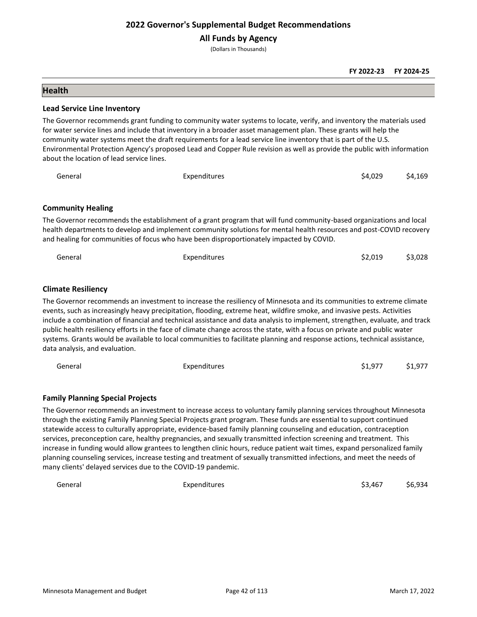**All Funds by Agency**

(Dollars in Thousands)

#### **FY 2022-23 FY 2024-25**

## **Health**

#### **Lead Service Line Inventory**

The Governor recommends grant funding to community water systems to locate, verify, and inventory the materials used for water service lines and include that inventory in a broader asset management plan. These grants will help the community water systems meet the draft requirements for a lead service line inventory that is part of the U.S. Environmental Protection Agency's proposed Lead and Copper Rule revision as well as provide the public with information about the location of lead service lines.

| General                  | Expenditures                                                                                                                                                                                                                                                                                                                           | \$4.029 | \$4.169 |
|--------------------------|----------------------------------------------------------------------------------------------------------------------------------------------------------------------------------------------------------------------------------------------------------------------------------------------------------------------------------------|---------|---------|
|                          |                                                                                                                                                                                                                                                                                                                                        |         |         |
| <b>Community Healing</b> |                                                                                                                                                                                                                                                                                                                                        |         |         |
|                          | The Governor recommends the establishment of a grant program that will fund community-based organizations and local<br>health departments to develop and implement community solutions for mental health resources and post-COVID recovery<br>and healing for communities of focus who have been disproportionately impacted by COVID. |         |         |

| General | Expenditures | $$2,019$ $$3,028$ |  |
|---------|--------------|-------------------|--|
|         |              |                   |  |

#### **Climate Resiliency**

The Governor recommends an investment to increase the resiliency of Minnesota and its communities to extreme climate events, such as increasingly heavy precipitation, flooding, extreme heat, wildfire smoke, and invasive pests. Activities include a combination of financial and technical assistance and data analysis to implement, strengthen, evaluate, and track public health resiliency efforts in the face of climate change across the state, with a focus on private and public water systems. Grants would be available to local communities to facilitate planning and response actions, technical assistance, data analysis, and evaluation.

| General | Expenditures | \$1,977<br>\$1,977 |
|---------|--------------|--------------------|
|---------|--------------|--------------------|

## **Family Planning Special Projects**

The Governor recommends an investment to increase access to voluntary family planning services throughout Minnesota through the existing Family Planning Special Projects grant program. These funds are essential to support continued statewide access to culturally appropriate, evidence-based family planning counseling and education, contraception services, preconception care, healthy pregnancies, and sexually transmitted infection screening and treatment. This increase in funding would allow grantees to lengthen clinic hours, reduce patient wait times, expand personalized family planning counseling services, increase testing and treatment of sexually transmitted infections, and meet the needs of many clients' delayed services due to the COVID-19 pandemic.

| General | Expenditures | \$3,467 \$6,934 |  |
|---------|--------------|-----------------|--|
|         |              |                 |  |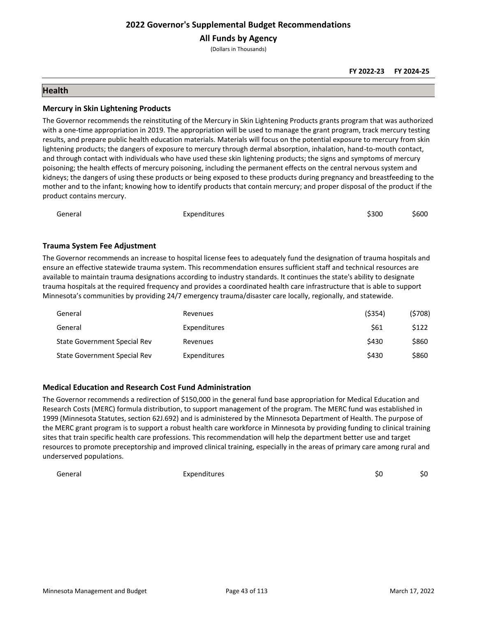**All Funds by Agency**

(Dollars in Thousands)

## **Health**

#### **Mercury in Skin Lightening Products**

The Governor recommends the reinstituting of the Mercury in Skin Lightening Products grants program that was authorized with a one-time appropriation in 2019. The appropriation will be used to manage the grant program, track mercury testing results, and prepare public health education materials. Materials will focus on the potential exposure to mercury from skin lightening products; the dangers of exposure to mercury through dermal absorption, inhalation, hand-to-mouth contact, and through contact with individuals who have used these skin lightening products; the signs and symptoms of mercury poisoning; the health effects of mercury poisoning, including the permanent effects on the central nervous system and kidneys; the dangers of using these products or being exposed to these products during pregnancy and breastfeeding to the mother and to the infant; knowing how to identify products that contain mercury; and proper disposal of the product if the product contains mercury.

| Expenditures<br>General | \$300 | \$600 |
|-------------------------|-------|-------|
|-------------------------|-------|-------|

## **Trauma System Fee Adjustment**

The Governor recommends an increase to hospital license fees to adequately fund the designation of trauma hospitals and ensure an effective statewide trauma system. This recommendation ensures sufficient staff and technical resources are available to maintain trauma designations according to industry standards. It continues the state's ability to designate trauma hospitals at the required frequency and provides a coordinated health care infrastructure that is able to support Minnesota's communities by providing 24/7 emergency trauma/disaster care locally, regionally, and statewide.

| General                      | Revenues     | ( \$354) | (5708) |
|------------------------------|--------------|----------|--------|
| General                      | Expenditures | \$61     | \$122  |
| State Government Special Rev | Revenues     | \$430    | \$860  |
| State Government Special Rev | Expenditures | \$430    | \$860  |

## **Medical Education and Research Cost Fund Administration**

The Governor recommends a redirection of \$150,000 in the general fund base appropriation for Medical Education and Research Costs (MERC) formula distribution, to support management of the program. The MERC fund was established in 1999 (Minnesota Statutes, section 62J.692) and is administered by the Minnesota Department of Health. The purpose of the MERC grant program is to support a robust health care workforce in Minnesota by providing funding to clinical training sites that train specific health care professions. This recommendation will help the department better use and target resources to promote preceptorship and improved clinical training, especially in the areas of primary care among rural and underserved populations.

General Expenditures \$0 \$0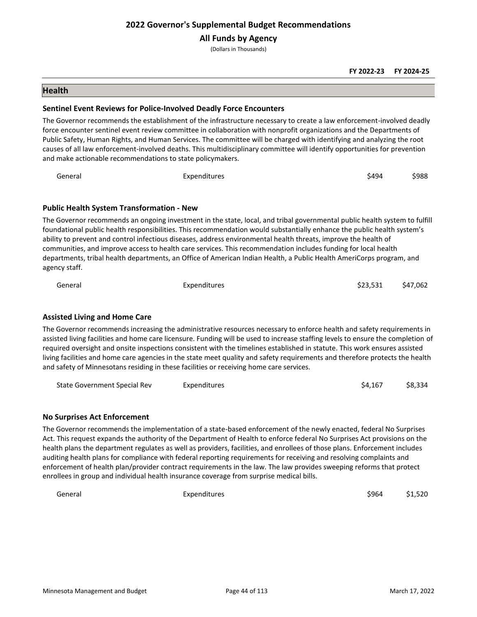**All Funds by Agency**

(Dollars in Thousands)

#### **FY 2022-23 FY 2024-25**

#### **Health**

#### **Sentinel Event Reviews for Police-Involved Deadly Force Encounters**

The Governor recommends the establishment of the infrastructure necessary to create a law enforcement-involved deadly force encounter sentinel event review committee in collaboration with nonprofit organizations and the Departments of Public Safety, Human Rights, and Human Services. The committee will be charged with identifying and analyzing the root causes of all law enforcement-involved deaths. This multidisciplinary committee will identify opportunities for prevention and make actionable recommendations to state policymakers.

| General                                          | Expenditures                                                                                                                                                                                                                                          | \$494 | \$988 |
|--------------------------------------------------|-------------------------------------------------------------------------------------------------------------------------------------------------------------------------------------------------------------------------------------------------------|-------|-------|
|                                                  |                                                                                                                                                                                                                                                       |       |       |
| <b>Public Health System Transformation - New</b> |                                                                                                                                                                                                                                                       |       |       |
|                                                  | The Governor recommends an ongoing investment in the state, local, and tribal governmental public health system to fulfill<br>foundational public health responsibilities. This recommendation would substantially enhance the public health system's |       |       |
|                                                  | delity to prevent and control infectious diseases, address environmental health threats, improve the health of                                                                                                                                        |       |       |

ability to prevent and control infectious diseases, address environmental health threats, improve the health of communities, and improve access to health care services. This recommendation includes funding for local health departments, tribal health departments, an Office of American Indian Health, a Public Health AmeriCorps program, and agency staff.

| General | Expenditures | \$23,531 | \$47,062 |
|---------|--------------|----------|----------|
|         |              |          |          |

## **Assisted Living and Home Care**

The Governor recommends increasing the administrative resources necessary to enforce health and safety requirements in assisted living facilities and home care licensure. Funding will be used to increase staffing levels to ensure the completion of required oversight and onsite inspections consistent with the timelines established in statute. This work ensures assisted living facilities and home care agencies in the state meet quality and safety requirements and therefore protects the health and safety of Minnesotans residing in these facilities or receiving home care services.

State Government Special Rev Expenditures **Expenditures** 64,167 \$8,334

#### **No Surprises Act Enforcement**

The Governor recommends the implementation of a state-based enforcement of the newly enacted, federal No Surprises Act. This request expands the authority of the Department of Health to enforce federal No Surprises Act provisions on the health plans the department regulates as well as providers, facilities, and enrollees of those plans. Enforcement includes auditing health plans for compliance with federal reporting requirements for receiving and resolving complaints and enforcement of health plan/provider contract requirements in the law. The law provides sweeping reforms that protect enrollees in group and individual health insurance coverage from surprise medical bills.

General Expenditures Expenditures (Seneral Seneral Seneral Seneral Seneral Seneral Seneral Seneral Seneral Seneral Seneral Seneral Seneral Seneral Seneral Seneral Seneral Seneral Seneral Seneral Seneral Seneral Seneral Sen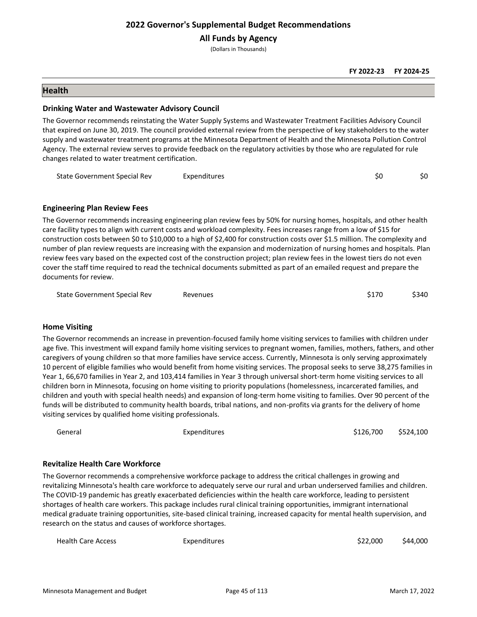**All Funds by Agency**

(Dollars in Thousands)

#### **FY 2022-23 FY 2024-25**

#### **Health**

#### **Drinking Water and Wastewater Advisory Council**

The Governor recommends reinstating the Water Supply Systems and Wastewater Treatment Facilities Advisory Council that expired on June 30, 2019. The council provided external review from the perspective of key stakeholders to the water supply and wastewater treatment programs at the Minnesota Department of Health and the Minnesota Pollution Control Agency. The external review serves to provide feedback on the regulatory activities by those who are regulated for rule changes related to water treatment certification.

| State Government Special Rev | Expenditures |  |
|------------------------------|--------------|--|
|                              |              |  |

#### **Engineering Plan Review Fees**

The Governor recommends increasing engineering plan review fees by 50% for nursing homes, hospitals, and other health care facility types to align with current costs and workload complexity. Fees increases range from a low of \$15 for construction costs between \$0 to \$10,000 to a high of \$2,400 for construction costs over \$1.5 million. The complexity and number of plan review requests are increasing with the expansion and modernization of nursing homes and hospitals. Plan review fees vary based on the expected cost of the construction project; plan review fees in the lowest tiers do not even cover the staff time required to read the technical documents submitted as part of an emailed request and prepare the documents for review.

| State Government Special Rev | Revenues | \$170 | \$340 |
|------------------------------|----------|-------|-------|
|------------------------------|----------|-------|-------|

## **Home Visiting**

The Governor recommends an increase in prevention-focused family home visiting services to families with children under age five. This investment will expand family home visiting services to pregnant women, families, mothers, fathers, and other caregivers of young children so that more families have service access. Currently, Minnesota is only serving approximately 10 percent of eligible families who would benefit from home visiting services. The proposal seeks to serve 38,275 families in Year 1, 66,670 families in Year 2, and 103,414 families in Year 3 through universal short-term home visiting services to all children born in Minnesota, focusing on home visiting to priority populations (homelessness, incarcerated families, and children and youth with special health needs) and expansion of long-term home visiting to families. Over 90 percent of the funds will be distributed to community health boards, tribal nations, and non-profits via grants for the delivery of home visiting services by qualified home visiting professionals.

| General | Expenditures | \$126,700 \$524,100 |  |
|---------|--------------|---------------------|--|
|         |              |                     |  |

#### **Revitalize Health Care Workforce**

The Governor recommends a comprehensive workforce package to address the critical challenges in growing and revitalizing Minnesota's health care workforce to adequately serve our rural and urban underserved families and children. The COVID-19 pandemic has greatly exacerbated deficiencies within the health care workforce, leading to persistent shortages of health care workers. This package includes rural clinical training opportunities, immigrant international medical graduate training opportunities, site-based clinical training, increased capacity for mental health supervision, and research on the status and causes of workforce shortages.

| <b>Health Care Access</b> | Expenditures | \$22,000 | \$44,000 |
|---------------------------|--------------|----------|----------|
|                           |              |          |          |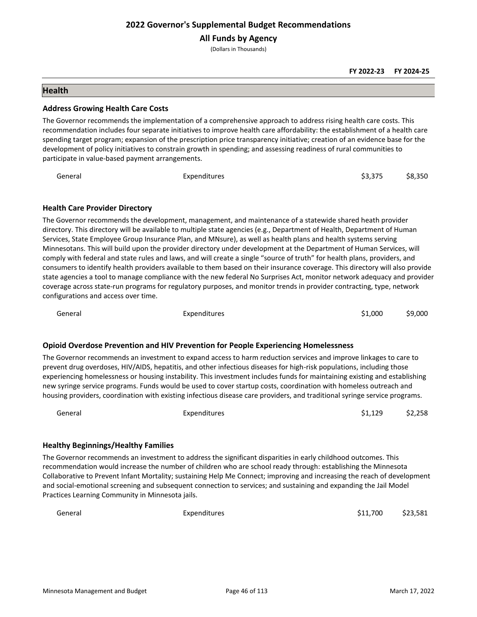**All Funds by Agency**

(Dollars in Thousands)

**FY 2022-23 FY 2024-25**

#### **Health**

#### **Address Growing Health Care Costs**

The Governor recommends the implementation of a comprehensive approach to address rising health care costs. This recommendation includes four separate initiatives to improve health care affordability: the establishment of a health care spending target program; expansion of the prescription price transparency initiative; creation of an evidence base for the development of policy initiatives to constrain growth in spending; and assessing readiness of rural communities to participate in value-based payment arrangements.

| General | Expenditures | \$3,375 \$8,350 |  |
|---------|--------------|-----------------|--|
|         |              |                 |  |

#### **Health Care Provider Directory**

The Governor recommends the development, management, and maintenance of a statewide shared heath provider directory. This directory will be available to multiple state agencies (e.g., Department of Health, Department of Human Services, State Employee Group Insurance Plan, and MNsure), as well as health plans and health systems serving Minnesotans. This will build upon the provider directory under development at the Department of Human Services, will comply with federal and state rules and laws, and will create a single "source of truth" for health plans, providers, and consumers to identify health providers available to them based on their insurance coverage. This directory will also provide state agencies a tool to manage compliance with the new federal No Surprises Act, monitor network adequacy and provider coverage across state-run programs for regulatory purposes, and monitor trends in provider contracting, type, network configurations and access over time.

General Expenditures Expenditures (51,000 \$9,000  $\sim$  \$9,000 \$9,000  $\sim$  \$9,000 \$9,000  $\sim$  \$9,000  $\sim$  \$9,000  $\sim$  \$9,000  $\sim$  \$9,000  $\sim$  \$9,000  $\sim$  \$9,000  $\sim$  \$9,000  $\sim$  \$9,000  $\sim$  \$9,000  $\sim$  \$9,000  $\sim$  \$9,000  $\sim$ 

#### **Opioid Overdose Prevention and HIV Prevention for People Experiencing Homelessness**

The Governor recommends an investment to expand access to harm reduction services and improve linkages to care to prevent drug overdoses, HIV/AIDS, hepatitis, and other infectious diseases for high-risk populations, including those experiencing homelessness or housing instability. This investment includes funds for maintaining existing and establishing new syringe service programs. Funds would be used to cover startup costs, coordination with homeless outreach and housing providers, coordination with existing infectious disease care providers, and traditional syringe service programs.

| General | Expenditures | \$1,129 | \$2,258 |
|---------|--------------|---------|---------|
|         |              |         |         |

#### **Healthy Beginnings/Healthy Families**

The Governor recommends an investment to address the significant disparities in early childhood outcomes. This recommendation would increase the number of children who are school ready through: establishing the Minnesota Collaborative to Prevent Infant Mortality; sustaining Help Me Connect; improving and increasing the reach of development and social-emotional screening and subsequent connection to services; and sustaining and expanding the Jail Model Practices Learning Community in Minnesota jails.

| General | <b>Expenditures</b> | \$11,700 | \$23,581 |
|---------|---------------------|----------|----------|
|         |                     |          |          |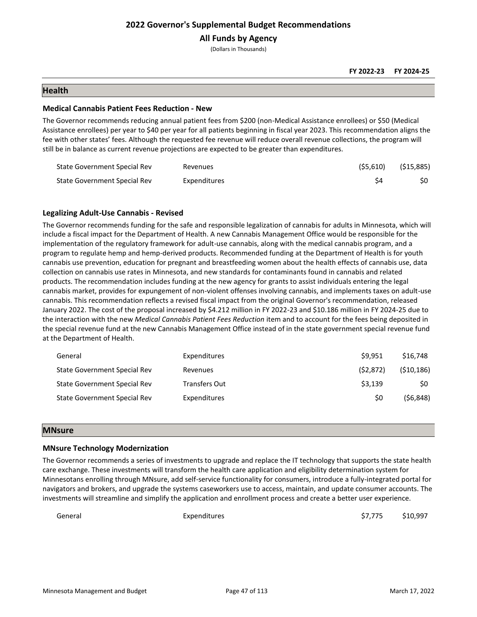**All Funds by Agency**

(Dollars in Thousands)

#### **FY 2022-23 FY 2024-25**

## **Health**

#### **Medical Cannabis Patient Fees Reduction - New**

The Governor recommends reducing annual patient fees from \$200 (non-Medical Assistance enrollees) or \$50 (Medical Assistance enrollees) per year to \$40 per year for all patients beginning in fiscal year 2023. This recommendation aligns the fee with other states' fees. Although the requested fee revenue will reduce overall revenue collections, the program will still be in balance as current revenue projections are expected to be greater than expenditures.

| State Government Special Rev | Revenues            | (\$5,610) | (\$15,885) |
|------------------------------|---------------------|-----------|------------|
| State Government Special Rev | <b>Expenditures</b> |           |            |

#### **Legalizing Adult-Use Cannabis - Revised**

The Governor recommends funding for the safe and responsible legalization of cannabis for adults in Minnesota, which will include a fiscal impact for the Department of Health. A new Cannabis Management Office would be responsible for the implementation of the regulatory framework for adult-use cannabis, along with the medical cannabis program, and a program to regulate hemp and hemp-derived products. Recommended funding at the Department of Health is for youth cannabis use prevention, education for pregnant and breastfeeding women about the health effects of cannabis use, data collection on cannabis use rates in Minnesota, and new standards for contaminants found in cannabis and related products. The recommendation includes funding at the new agency for grants to assist individuals entering the legal cannabis market, provides for expungement of non-violent offenses involving cannabis, and implements taxes on adult-use cannabis. This recommendation reflects a revised fiscal impact from the original Governor's recommendation, released January 2022. The cost of the proposal increased by \$4.212 million in FY 2022-23 and \$10.186 million in FY 2024-25 due to the interaction with the new *Medical Cannabis Patient Fees Reduction* item and to account for the fees being deposited in the special revenue fund at the new Cannabis Management Office instead of in the state government special revenue fund at the Department of Health.

| General                      | Expenditures         | \$9.951   | \$16,748   |
|------------------------------|----------------------|-----------|------------|
| State Government Special Rev | Revenues             | (52, 872) | (510, 186) |
| State Government Special Rev | <b>Transfers Out</b> | \$3.139   | \$0        |
| State Government Special Rev | Expenditures         | \$0       | (56, 848)  |

#### **MNsure**

#### **MNsure Technology Modernization**

The Governor recommends a series of investments to upgrade and replace the IT technology that supports the state health care exchange. These investments will transform the health care application and eligibility determination system for Minnesotans enrolling through MNsure, add self-service functionality for consumers, introduce a fully-integrated portal for navigators and brokers, and upgrade the systems caseworkers use to access, maintain, and update consumer accounts. The investments will streamline and simplify the application and enrollment process and create a better user experience.

General Expenditures \$7,775 \$10,997